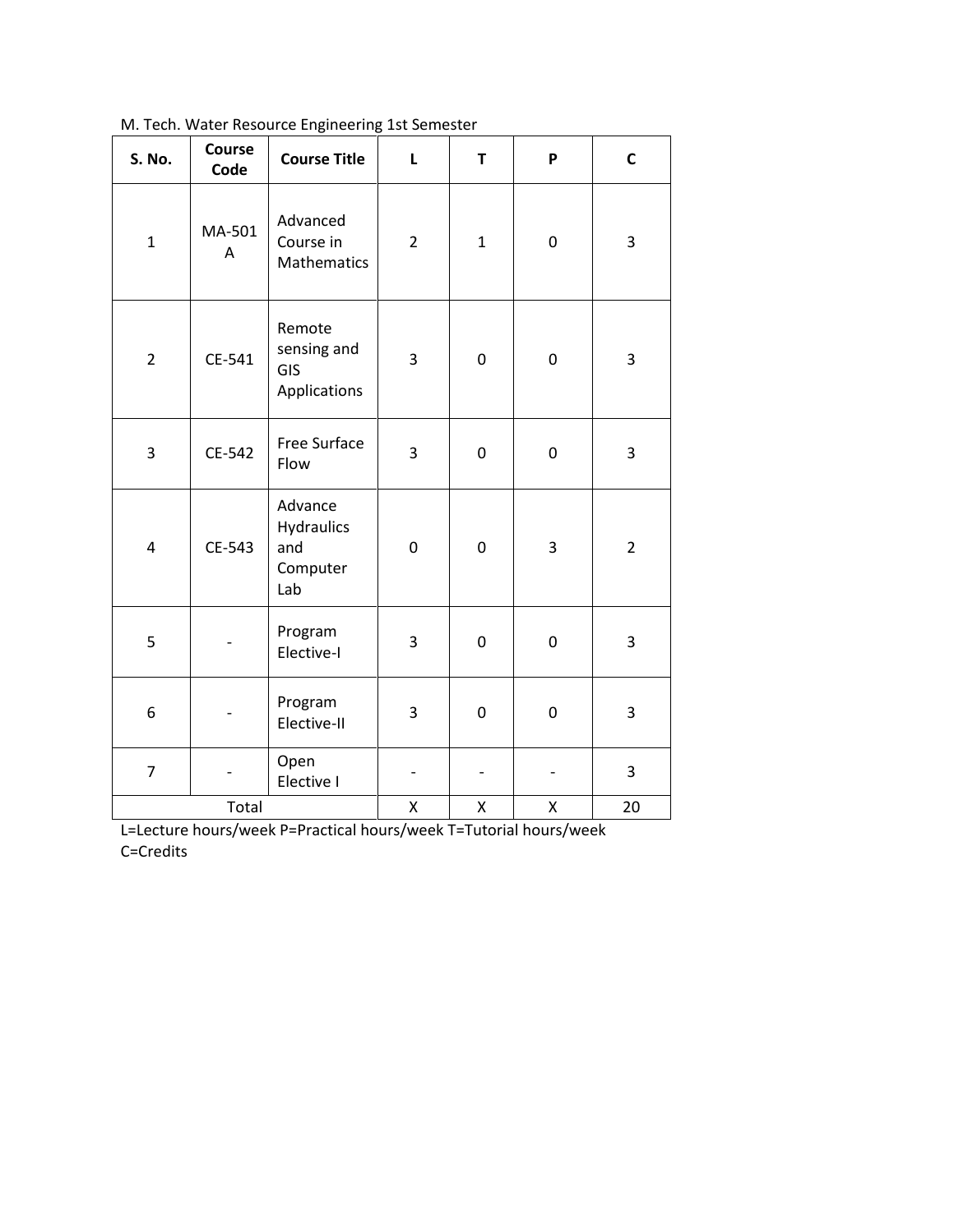| S. No.                  | Course<br>Code | <b>Course Title</b>                                    | L              | T            | P         | $\mathsf{C}$   |
|-------------------------|----------------|--------------------------------------------------------|----------------|--------------|-----------|----------------|
| $\mathbf{1}$            | MA-501<br>A    | Advanced<br>Course in<br>Mathematics                   | $\overline{2}$ | $\mathbf{1}$ | $\pmb{0}$ | 3              |
| $\overline{2}$          | CE-541         | Remote<br>sensing and<br>GIS<br>Applications           | 3              | $\pmb{0}$    | $\pmb{0}$ | 3              |
| 3                       | CE-542         | Free Surface<br>Flow                                   | 3              | 0            | $\pmb{0}$ | 3              |
| $\overline{\mathbf{4}}$ | CE-543         | Advance<br><b>Hydraulics</b><br>and<br>Computer<br>Lab | $\mathbf 0$    | 0            | 3         | $\overline{2}$ |
| 5                       |                | Program<br>Elective-I                                  | 3              | 0            | $\pmb{0}$ | 3              |
| 6                       |                | Program<br>Elective-II                                 | 3              | 0            | $\pmb{0}$ | 3              |
| $\overline{7}$          |                | Open<br>Elective I                                     |                |              |           | 3              |
| Total                   |                |                                                        | Χ              | Χ            | Χ         | 20             |

[M. Tech. Water Resource Engineering 1st Semester](http://mnit.ac.in/dept_civil/downloads/2012/I-sem-water-resource-engg.pdf)

L=Lecture hours/week P=Practical hours/week T=Tutorial hours/week C=Credits